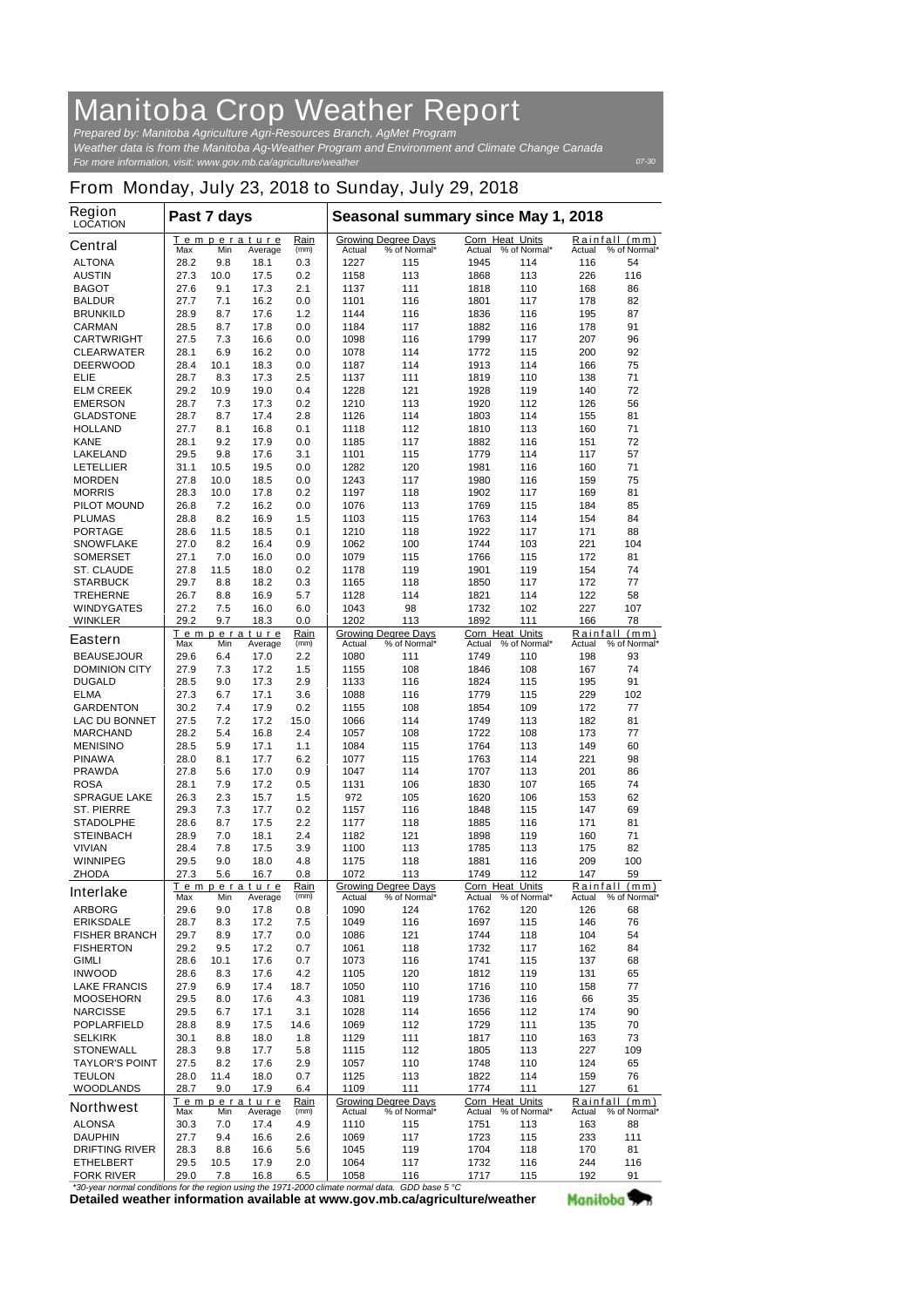## **Manitoba Crop Weather Report**

*For more information, visit: www.gov.mb.ca/agriculture/weather Prepared by: Manitoba Agriculture Agri-Resources Branch, AgMet Program Weather data is from the Manitoba Ag-Weather Program and Environment and Climate Change Canada*

## **From Monday, July 23, 2018 to Sunday, July 29, 2018**

| <b>Region</b><br><b>LOCATION</b>                                                              | Past 7 days         |             |                            |              | Seasonal summary since May 1, 2018                             |                                            |                                  |                     |               |                               |
|-----------------------------------------------------------------------------------------------|---------------------|-------------|----------------------------|--------------|----------------------------------------------------------------|--------------------------------------------|----------------------------------|---------------------|---------------|-------------------------------|
| <b>Central</b>                                                                                | Max                 | Min         | Temperature<br>Average     | Rain<br>(mm) | Actual                                                         | <b>Growing Degree Days</b><br>% of Normal* | <b>Corn Heat Units</b><br>Actual | % of Normal*        | Actual        | Rainfall (mm)<br>% of Normal* |
| <b>ALTONA</b>                                                                                 | 28.2                | 9.8         | 18.1                       | 0.3          | 1227                                                           | 115                                        | 1945                             | 114                 | 116           | 54                            |
| <b>AUSTIN</b>                                                                                 | 27.3                | 10.0        | 17.5                       | 0.2          | 1158                                                           | 113                                        | 1868                             | 113                 | 226           | 116                           |
| <b>BAGOT</b>                                                                                  | 27.6                | 9.1         | 17.3                       | 2.1          | 1137                                                           | 111                                        | 1818                             | 110                 | 168           | 86                            |
| <b>BALDUR</b>                                                                                 | 27.7                | 7.1         | 16.2                       | 0.0          | 1101                                                           | 116                                        | 1801                             | 117                 | 178           | 82                            |
| <b>BRUNKILD</b>                                                                               | 28.9                | 8.7         | 17.6                       | 1.2          | 1144                                                           | 116                                        | 1836                             | 116                 | 195           | 87                            |
| <b>CARMAN</b>                                                                                 | 28.5                | 8.7         | 17.8                       | 0.0          | 1184                                                           | 117                                        | 1882                             | 116                 | 178           | 91                            |
| <b>CARTWRIGHT</b>                                                                             | 27.5                | 7.3         | 16.6                       | 0.0          | 1098                                                           | 116                                        | 1799                             | 117                 | 207           | 96                            |
| <b>CLEARWATER</b>                                                                             | 28.1                | 6.9         | 16.2                       | 0.0          | 1078                                                           | 114                                        | 1772                             | 115                 | 200           | 92                            |
| <b>DEERWOOD</b><br><b>ELIE</b>                                                                | 28.4<br>28.7        | 10.1<br>8.3 | 18.3<br>17.3               | 0.0<br>2.5   | 1187<br>1137                                                   | 114<br>111                                 | 1913<br>1819                     | 114<br>110          | 166<br>138    | 75<br>71                      |
| <b>ELM CREEK</b>                                                                              | 29.2                | 10.9        | 19.0                       | 0.4          | 1228                                                           | 121                                        | 1928                             | 119                 | 140           | 72                            |
| <b>EMERSON</b>                                                                                | 28.7                | 7.3         | 17.3                       | 0.2          | 1210                                                           | 113                                        | 1920                             | 112                 | 126           | 56                            |
| <b>GLADSTONE</b>                                                                              | 28.7                | 8.7         | 17.4                       | 2.8          | 1126                                                           | 114                                        | 1803                             | 114                 | 155           | 81                            |
| <b>HOLLAND</b>                                                                                | 27.7                | 8.1         | 16.8                       | 0.1          | 1118                                                           | 112                                        | 1810                             | 113                 | 160           | 71                            |
| <b>KANE</b>                                                                                   | 28.1                | 9.2         | 17.9                       | 0.0          | 1185                                                           | 117                                        | 1882                             | 116                 | 151           | 72                            |
| <b>LAKELAND</b>                                                                               | 29.5                | 9.8         | 17.6                       | 3.1          | 1101                                                           | 115                                        | 1779                             | 114                 | 117           | 57                            |
| <b>LETELLIER</b>                                                                              | 31.1                | 10.5        | 19.5                       | 0.0          | 1282                                                           | 120                                        | 1981                             | 116                 | 160           | 71                            |
| <b>MORDEN</b>                                                                                 | 27.8                | 10.0        | 18.5                       | 0.0          | 1243                                                           | 117                                        | 1980                             | 116                 | 159           | 75                            |
| <b>MORRIS</b>                                                                                 | 28.3                | 10.0        | 17.8                       | 0.2          | 1197                                                           | 118                                        | 1902                             | 117                 | 169           | 81                            |
| <b>PILOT MOUND</b>                                                                            | 26.8                | 7.2         | 16.2                       | 0.0          | 1076                                                           | 113                                        | 1769                             | 115                 | 184           | 85                            |
| <b>PLUMAS</b>                                                                                 | 28.8                | 8.2         | 16.9                       | 1.5          | 1103                                                           | 115                                        | 1763                             | 114                 | 154           | 84                            |
| <b>PORTAGE</b>                                                                                | 28.6                | 11.5        | 18.5                       | 0.1          | 1210                                                           | 118                                        | 1922                             | 117                 | 171           | 88                            |
| <b>SNOWFLAKE</b>                                                                              | 27.0                | 8.2         | 16.4                       | 0.9          | 1062                                                           | 100                                        | 1744                             | 103                 | 221           | 104                           |
| <b>SOMERSET</b>                                                                               | 27.1                | 7.0         | 16.0                       | 0.0          | 1079                                                           | 115                                        | 1766                             | 115                 | 172           | 81                            |
| <b>ST. CLAUDE</b>                                                                             | 27.8                | 11.5        | 18.0                       | 0.2          | 1178                                                           | 119                                        | 1901                             | 119                 | 154           | 74                            |
| <b>STARBUCK</b>                                                                               | 29.7                | 8.8         | 18.2                       | 0.3          | 1165                                                           | 118                                        | 1850                             | 117                 | 172           | 77                            |
| <b>TREHERNE</b>                                                                               | 26.7                | 8.8         | 16.9                       | 5.7          | 1128                                                           | 114                                        | 1821                             | 114                 | 122           | 58                            |
| <b>WINDYGATES</b>                                                                             | 27.2                | 7.5         | 16.0                       | 6.0          | 1043                                                           | 98                                         | 1732                             | 102                 | 227           | 107                           |
| <b>WINKLER</b>                                                                                | 29.2                | 9.7         | 18.3                       | 0.0          | 1202                                                           | 113                                        | 1892                             | 111                 | 166           | 78                            |
| <b>Eastern</b>                                                                                |                     |             | <u>Temperature</u>         | Rain         |                                                                | <b>Growing Degree Days</b>                 | Corn Heat Units                  |                     |               | Rainfall (mm)                 |
| <b>BEAUSEJOUR</b>                                                                             | Max<br>29.6         | Min<br>6.4  | Average<br>17.0            | (mm)<br>2.2  | Actual<br>1080                                                 | % of Normal*<br>111                        | Actual<br>1749                   | % of Normal*<br>110 | Actual<br>198 | % of Normal*<br>93            |
| <b>DOMINION CITY</b>                                                                          | 27.9                | 7.3         | 17.2                       | 1.5          | 1155                                                           | 108                                        | 1846                             | 108                 | 167           | 74                            |
| <b>DUGALD</b>                                                                                 | 28.5                | 9.0         | 17.3                       | 2.9          | 1133                                                           | 116                                        | 1824                             | 115                 | 195           | 91                            |
| <b>ELMA</b>                                                                                   | 27.3                | 6.7         | 17.1                       | 3.6          | 1088                                                           | 116                                        | 1779                             | 115                 | 229           | 102                           |
| <b>GARDENTON</b>                                                                              | 30.2                | 7.4         | 17.9                       | 0.2          | 1155                                                           | 108                                        | 1854                             | 109                 | 172           | 77                            |
| <b>LAC DU BONNET</b>                                                                          | 27.5                | 7.2         | 17.2                       | 15.0         | 1066                                                           | 114                                        | 1749                             | 113                 | 182           | 81                            |
| <b>MARCHAND</b>                                                                               | 28.2                | 5.4         | 16.8                       | 2.4          | 1057                                                           | 108                                        | 1722                             | 108                 | 173           | 77                            |
| <b>MENISINO</b>                                                                               | 28.5                | 5.9         | 17.1                       | 1.1          | 1084                                                           | 115                                        | 1764                             | 113                 | 149           | 60                            |
| <b>PINAWA</b>                                                                                 | 28.0                | 8.1         | 17.7                       | 6.2          | 1077                                                           | 115                                        | 1763                             | 114                 | 221           | 98                            |
| <b>PRAWDA</b>                                                                                 | 27.8                | 5.6         | 17.0                       | 0.9          | 1047                                                           | 114                                        | 1707                             | 113                 | 201           | 86                            |
| <b>ROSA</b>                                                                                   | 28.1                | 7.9         | 17.2                       | 0.5          | 1131                                                           | 106                                        | 1830                             | 107                 | 165           | 74                            |
| <b>SPRAGUE LAKE</b>                                                                           | 26.3                | 2.3         | 15.7                       | 1.5          | 972                                                            | 105                                        | 1620                             | 106                 | 153           | 62                            |
| <b>ST. PIERRE</b>                                                                             | 29.3                | 7.3         | 17.7                       | 0.2          | 1157                                                           | 116                                        | 1848                             | 115                 | 147           | 69                            |
| <b>STADOLPHE</b>                                                                              | 28.6                | 8.7         | 17.5                       | 2.2          | 1177                                                           | 118                                        | 1885                             | 116                 | 171           | 81                            |
| <b>STEINBACH</b>                                                                              | 28.9                | 7.0         | 18.1                       | 2.4          | 1182                                                           | 121                                        | 1898                             | 119                 | 160           | 71                            |
| <b>VIVIAN</b>                                                                                 | 28.4                | 7.8         | 17.5                       | 3.9          | 1100                                                           | 113                                        | 1785                             | 113                 | 175           | 82                            |
| <b>WINNIPEG</b>                                                                               | 29.5                | 9.0         | 18.0                       | 4.8          | 1175                                                           | 118                                        | 1881                             | 116                 | 209           | 100                           |
| <b>ZHODA</b>                                                                                  | 27.3                | 5.6         | 16.7                       | 0.8          | 1072                                                           | 113                                        | 1749                             | 112                 | 147           | 59                            |
| <b>Interlake</b>                                                                              | Temperature<br>Rain |             | <b>Growing Degree Days</b> |              | Corn Heat Units                                                |                                            | Rainfall (mm)                    |                     |               |                               |
|                                                                                               | Max                 | Min         | Average                    | (mm)         | Actual                                                         | % of Normal*                               |                                  | Actual % of Normal* | Actual        | % of Normal*                  |
| <b>ARBORG</b>                                                                                 | 29.6                | 9.0         | 17.8                       | 0.8          | 1090                                                           | 124                                        | 1762                             | 120                 | 126           | 68                            |
| <b>ERIKSDALE</b><br><b>FISHER BRANCH</b>                                                      | 28.7<br>29.7        | 8.3         | 17.2<br>17.7               | 7.5<br>0.0   | 1049<br>1086                                                   | 116<br>121                                 | 1697<br>1744                     | 115<br>118          | 146<br>104    | 76<br>54                      |
| <b>FISHERTON</b>                                                                              | 29.2                | 8.9<br>9.5  | 17.2                       | 0.7          | 1061                                                           | 118                                        | 1732                             | 117                 | 162           | 84                            |
| <b>GIMLI</b>                                                                                  | 28.6                | 10.1        | 17.6                       | 0.7          | 1073                                                           | 116                                        | 1741                             | 115                 | 137           | 68                            |
| <b>INWOOD</b>                                                                                 | 28.6                | 8.3         | 17.6                       | 4.2          | 1105                                                           | 120                                        | 1812                             | 119                 | 131           | 65                            |
| <b>LAKE FRANCIS</b>                                                                           | 27.9                | 6.9         | 17.4                       | 18.7         | 1050                                                           | 110                                        | 1716                             | 110                 | 158           | 77                            |
| <b>MOOSEHORN</b>                                                                              | 29.5                | 8.0         | 17.6                       | 4.3          | 1081                                                           | 119                                        | 1736                             | 116                 | 66            | 35                            |
| <b>NARCISSE</b>                                                                               | 29.5                | 6.7         | 17.1                       | 3.1          | 1028                                                           | 114                                        | 1656                             | 112                 | 174           | 90                            |
| <b>POPLARFIELD</b>                                                                            | 28.8                | 8.9         | 17.5                       | 14.6         | 1069                                                           | 112                                        | 1729                             | 111                 | 135           | 70                            |
| <b>SELKIRK</b>                                                                                | 30.1                | 8.8         | 18.0                       | 1.8          | 1129                                                           | 111                                        | 1817                             | 110                 | 163           | 73                            |
| <b>STONEWALL</b>                                                                              | 28.3                | 9.8         | 17.7                       | 5.8          | 1115                                                           | 112                                        | 1805                             | 113                 | 227           | 109                           |
| <b>TAYLOR'S POINT</b>                                                                         | 27.5                | 8.2         | 17.6                       | 2.9          | 1057                                                           | 110                                        | 1748                             | 110                 | 124           | 65                            |
| <b>TEULON</b>                                                                                 | 28.0                | 11.4        | 18.0                       | 0.7          | 1125                                                           | 113                                        | 1822                             | 114                 | 159           | 76                            |
| <b>WOODLANDS</b>                                                                              | 28.7                | 9.0         | 17.9                       | 6.4          | 1109                                                           | 111                                        | 1774                             | 111                 | 127           | 61                            |
|                                                                                               |                     |             | <u>Temperature</u>         | Rain         | Corn Heat Units<br>Rainfall (mm)<br><b>Growing Degree Days</b> |                                            |                                  |                     |               |                               |
| <b>Northwest</b>                                                                              | Max                 | Min         | Average                    | (mm)         | Actual                                                         | % of Normal*                               | Actual                           | % of Normal*        | Actual        | % of Normal*                  |
| <b>ALONSA</b>                                                                                 | 30.3                | 7.0         | 17.4                       | 4.9          | 1110                                                           | 115                                        | 1751                             | 113                 | 163           | 88                            |
| <b>DAUPHIN</b>                                                                                | 27.7                | 9.4         | 16.6                       | 2.6          | 1069                                                           | 117                                        | 1723                             | 115                 | 233           | 111                           |
| <b>DRIFTING RIVER</b>                                                                         | 28.3                | 8.8         | 16.6                       | 5.6          | 1045                                                           | 119                                        | 1704                             | 118                 | 170           | 81                            |
| <b>ETHELBERT</b>                                                                              | 29.5                | 10.5        | 17.9                       | 2.0          | 1064                                                           | 117                                        | 1732                             | 116                 | 244           | 116                           |
| <b>FORK RIVER</b><br>parmal conditions for the region uping the 1071,2000 elimete nermal data | 29.0                | 7.8         | 16.8                       | 6.5          | 1058                                                           | 116<br>$CDD$ has $E$ $0$                   | 1717                             | 115                 | 192           | 91                            |

**Detailed weather information available at www.gov.mb.ca/agriculture/weather** *\*30-year normal conditions for the region using the 1971-2000 climate normal data. GDD base 5 °C* Manitoba<sup>y</sup>